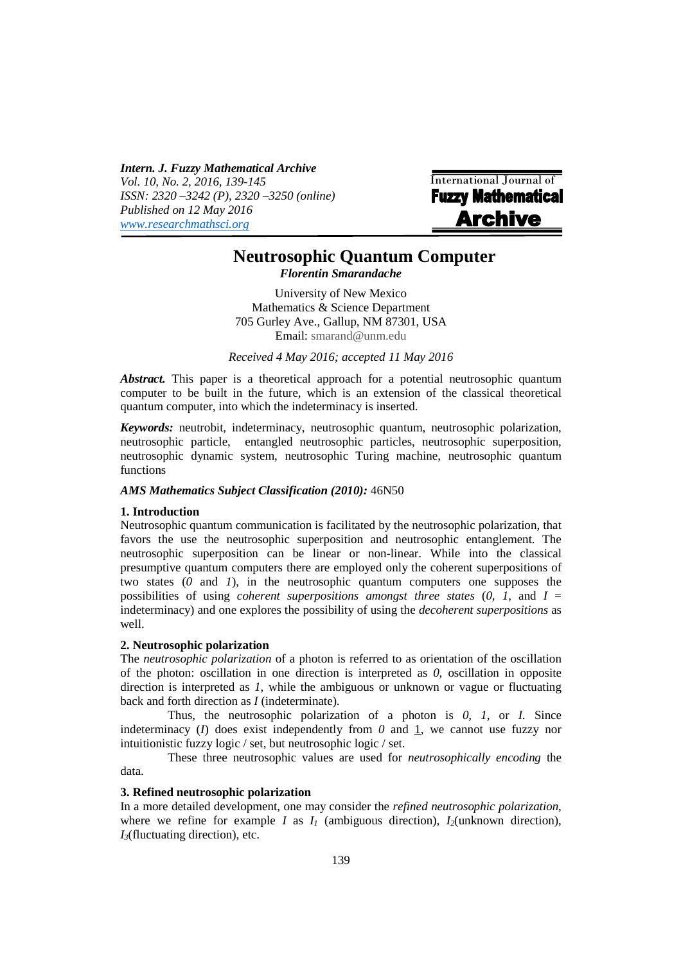*Intern. J. Fuzzy Mathematical Archive Vol. 10, No. 2, 2016, 139-145 ISSN: 2320 –3242 (P), 2320 –3250 (online) Published on 12 May 2016 www.researchmathsci.org*

| <b>International Journal of</b> |
|---------------------------------|
| <b>Fuzzy Mathematical</b>       |
| <b>Archive</b>                  |
|                                 |

# **Neutrosophic Quantum Computer**

*Florentin Smarandache*

University of New Mexico Mathematics & Science Department 705 Gurley Ave., Gallup, NM 87301, USA Email: smarand@unm.edu

*Received 4 May 2016; accepted 11 May 2016* 

*Abstract.* This paper is a theoretical approach for a potential neutrosophic quantum computer to be built in the future, which is an extension of the classical theoretical quantum computer, into which the indeterminacy is inserted.

*Keywords:* neutrobit, indeterminacy, neutrosophic quantum, neutrosophic polarization, neutrosophic particle, entangled neutrosophic particles, neutrosophic superposition, neutrosophic dynamic system, neutrosophic Turing machine, neutrosophic quantum functions

# *AMS Mathematics Subject Classification (2010):* 46N50

# **1. Introduction**

i

Neutrosophic quantum communication is facilitated by the neutrosophic polarization, that favors the use the neutrosophic superposition and neutrosophic entanglement. The neutrosophic superposition can be linear or non-linear. While into the classical presumptive quantum computers there are employed only the coherent superpositions of two states (*0* and *1*), in the neutrosophic quantum computers one supposes the possibilities of using *coherent superpositions amongst three states* (*0, 1,* and *I* = indeterminacy) and one explores the possibility of using the *decoherent superpositions* as well.

### **2. Neutrosophic polarization**

The *neutrosophic polarization* of a photon is referred to as orientation of the oscillation of the photon: oscillation in one direction is interpreted as *0*, oscillation in opposite direction is interpreted as *1*, while the ambiguous or unknown or vague or fluctuating back and forth direction as *I* (indeterminate).

Thus, the neutrosophic polarization of a photon is *0, 1,* or *I*. Since indeterminacy  $(I)$  does exist independently from  $O$  and  $I$ , we cannot use fuzzy nor intuitionistic fuzzy logic / set, but neutrosophic logic / set.

These three neutrosophic values are used for *neutrosophically encoding* the data.

## **3. Refined neutrosophic polarization**

In a more detailed development, one may consider the *refined neutrosophic polarization*, where we refine for example *I* as  $I_i$  (ambiguous direction),  $I_2$ (unknown direction), *I3*(fluctuating direction), etc.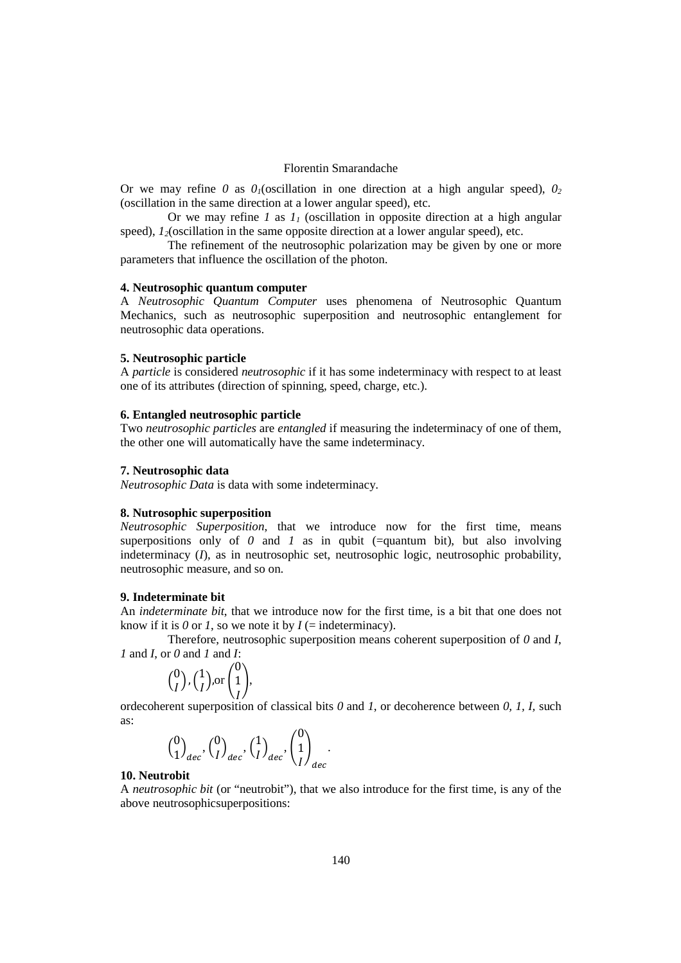# Florentin Smarandache

Or we may refine *0* as  $\theta$ <sub>*i*</sub>(oscillation in one direction at a high angular speed),  $\theta$ <sup>2</sup> (oscillation in the same direction at a lower angular speed), etc.

Or we may refine *1* as  $I<sub>I</sub>$  (oscillation in opposite direction at a high angular speed),  $I_2$ (oscillation in the same opposite direction at a lower angular speed), etc.

The refinement of the neutrosophic polarization may be given by one or more parameters that influence the oscillation of the photon.

### **4. Neutrosophic quantum computer**

A *Neutrosophic Quantum Computer* uses phenomena of Neutrosophic Quantum Mechanics, such as neutrosophic superposition and neutrosophic entanglement for neutrosophic data operations.

## **5. Neutrosophic particle**

A *particle* is considered *neutrosophic* if it has some indeterminacy with respect to at least one of its attributes (direction of spinning, speed, charge, etc.).

### **6. Entangled neutrosophic particle**

Two *neutrosophic particles* are *entangled* if measuring the indeterminacy of one of them, the other one will automatically have the same indeterminacy.

### **7. Neutrosophic data**

*Neutrosophic Data* is data with some indeterminacy.

### **8. Nutrosophic superposition**

*Neutrosophic Superposition*, that we introduce now for the first time, means superpositions only of  $\theta$  and  $\theta$  as in qubit (=quantum bit), but also involving indeterminacy (*I*), as in neutrosophic set, neutrosophic logic, neutrosophic probability, neutrosophic measure, and so on.

### **9. Indeterminate bit**

An *indeterminate bit*, that we introduce now for the first time, is a bit that one does not know if it is  $\theta$  or  $I$ , so we note it by  $I$  (= indeterminacy).

Therefore, neutrosophic superposition means coherent superposition of *0* and *I*, *1* and *I*, or *0* and *1* and *I*:

$$
\binom{0}{I}, \binom{1}{I}, \text{or } \binom{0}{I},
$$

 ordecoherent superposition of classical bits *0* and *1*, or decoherence between *0, 1, I,* such as:

$$
{0 \choose 1}_{dec}, {0 \choose l}_{dec}, {1 \choose l}_{dec}, {0 \choose 1}_{dec}.
$$

### **10. Neutrobit**

A *neutrosophic bit* (or "neutrobit"), that we also introduce for the first time, is any of the above neutrosophicsuperpositions: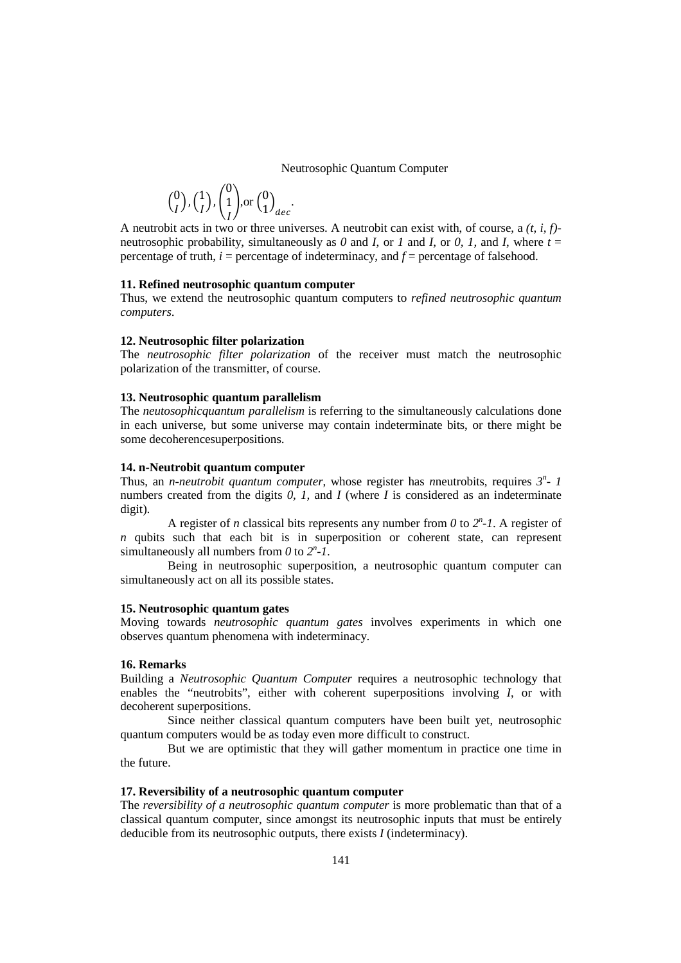Neutrosophic Quantum Computer

$$
\binom{0}{I}, \binom{1}{I}, \binom{0}{I}, \text{or } \binom{0}{1}_{dec}
$$

A neutrobit acts in two or three universes. A neutrobit can exist with, of course, a  $(t, i, f)$ neutrosophic probability, simultaneously as  $\theta$  and  $I$ , or  $I$  and  $I$ , or  $\theta$ ,  $I$ , and  $I$ , where  $t =$ percentage of truth, *i* = percentage of indeterminacy, and *f* = percentage of falsehood.

.

## **11. Refined neutrosophic quantum computer**

Thus, we extend the neutrosophic quantum computers to *refined neutrosophic quantum computers*.

### **12. Neutrosophic filter polarization**

The *neutrosophic filter polarization* of the receiver must match the neutrosophic polarization of the transmitter, of course.

### **13. Neutrosophic quantum parallelism**

The *neutosophicquantum parallelism* is referring to the simultaneously calculations done in each universe, but some universe may contain indeterminate bits, or there might be some decoherencesuperpositions.

### **14. n-Neutrobit quantum computer**

Thus, an *n-neutrobit quantum computer*, whose register has *n*neutrobits, requires *3 n - 1* numbers created from the digits *0, 1,* and *I* (where *I* is considered as an indeterminate digit).

A register of *n* classical bits represents any number from  $0$  to  $2^n$ -1. A register of *n* qubits such that each bit is in superposition or coherent state, can represent simultaneously all numbers from  $\theta$  to  $2^n$ -1.

Being in neutrosophic superposition, a neutrosophic quantum computer can simultaneously act on all its possible states.

# **15. Neutrosophic quantum gates**

Moving towards *neutrosophic quantum gates* involves experiments in which one observes quantum phenomena with indeterminacy.

#### **16. Remarks**

Building a *Neutrosophic Quantum Computer* requires a neutrosophic technology that enables the "neutrobits", either with coherent superpositions involving *I*, or with decoherent superpositions.

Since neither classical quantum computers have been built yet, neutrosophic quantum computers would be as today even more difficult to construct.

But we are optimistic that they will gather momentum in practice one time in the future.

# **17. Reversibility of a neutrosophic quantum computer**

The *reversibility of a neutrosophic quantum computer* is more problematic than that of a classical quantum computer, since amongst its neutrosophic inputs that must be entirely deducible from its neutrosophic outputs, there exists *I* (indeterminacy).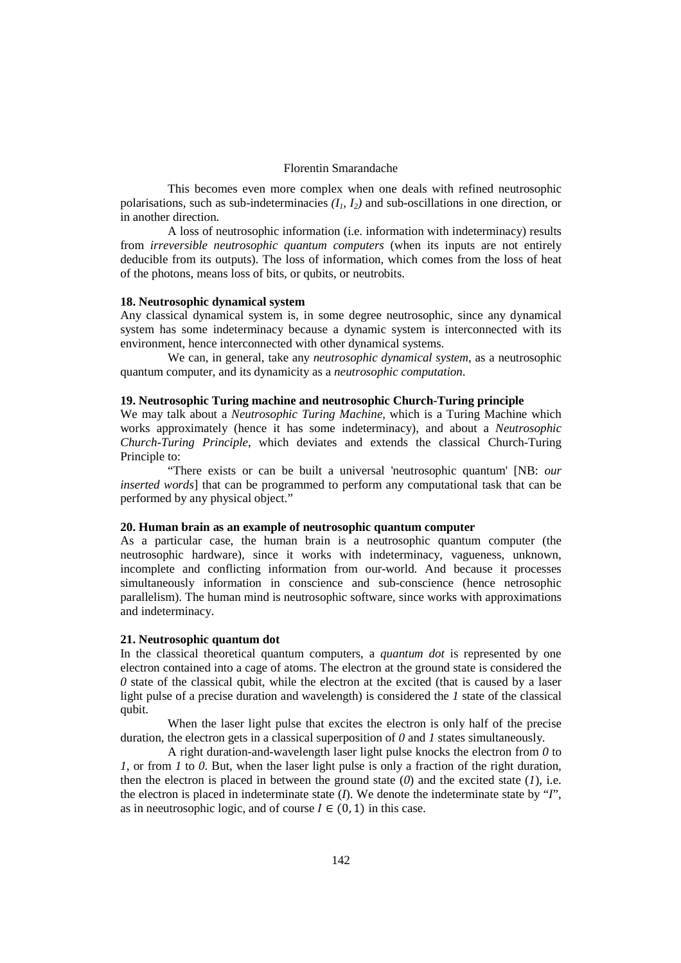# Florentin Smarandache

This becomes even more complex when one deals with refined neutrosophic polarisations, such as sub-indeterminacies  $(I_1, I_2)$  and sub-oscillations in one direction, or in another direction.

A loss of neutrosophic information (i.e. information with indeterminacy) results from *irreversible neutrosophic quantum computers* (when its inputs are not entirely deducible from its outputs). The loss of information, which comes from the loss of heat of the photons, means loss of bits, or qubits, or neutrobits.

### **18. Neutrosophic dynamical system**

Any classical dynamical system is, in some degree neutrosophic, since any dynamical system has some indeterminacy because a dynamic system is interconnected with its environment, hence interconnected with other dynamical systems.

We can, in general, take any *neutrosophic dynamical system*, as a neutrosophic quantum computer, and its dynamicity as a *neutrosophic computation*.

# **19. Neutrosophic Turing machine and neutrosophic Church-Turing principle**

We may talk about a *Neutrosophic Turing Machine*, which is a Turing Machine which works approximately (hence it has some indeterminacy), and about a *Neutrosophic Church-Turing Principle*, which deviates and extends the classical Church-Turing Principle to:

"There exists or can be built a universal 'neutrosophic quantum' [NB: *our inserted words*] that can be programmed to perform any computational task that can be performed by any physical object."

#### **20. Human brain as an example of neutrosophic quantum computer**

As a particular case, the human brain is a neutrosophic quantum computer (the neutrosophic hardware), since it works with indeterminacy, vagueness, unknown, incomplete and conflicting information from our-world. And because it processes simultaneously information in conscience and sub-conscience (hence netrosophic parallelism). The human mind is neutrosophic software, since works with approximations and indeterminacy.

# **21. Neutrosophic quantum dot**

In the classical theoretical quantum computers, a *quantum dot* is represented by one electron contained into a cage of atoms. The electron at the ground state is considered the  $0$  state of the classical qubit, while the electron at the excited (that is caused by a laser light pulse of a precise duration and wavelength) is considered the *1* state of the classical qubit.

When the laser light pulse that excites the electron is only half of the precise duration, the electron gets in a classical superposition of *0* and *1* states simultaneously.

A right duration-and-wavelength laser light pulse knocks the electron from *0* to *1*, or from *1* to *0*. But, when the laser light pulse is only a fraction of the right duration, then the electron is placed in between the ground state  $(0)$  and the excited state  $(1)$ , i.e. the electron is placed in indeterminate state (*I*). We denote the indeterminate state by "*I*", as in neeutrosophic logic, and of course  $I \in (0, 1)$  in this case.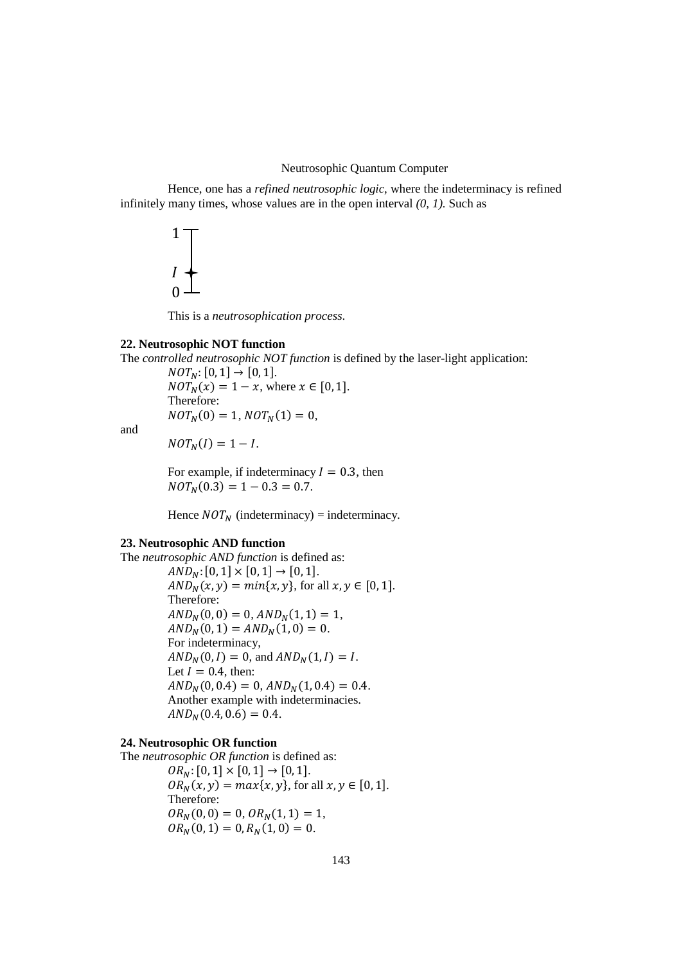# Neutrosophic Quantum Computer

Hence, one has a *refined neutrosophic logic*, where the indeterminacy is refined infinitely many times, whose values are in the open interval *(0, 1).* Such as



This is a *neutrosophication process*.

# **22. Neutrosophic NOT function**

The *controlled neutrosophic NOT function* is defined by the laser-light application:

 $NOT<sub>N</sub>: [0, 1] \rightarrow [0, 1].$  $NOT_{N}(x) = 1 - x$ , where  $x \in [0, 1]$ . Therefore:  $NOT<sub>N</sub>(0) = 1, NOT<sub>N</sub>(1) = 0,$ 

and

 $NOT<sub>N</sub>(I) = 1 - I.$ 

For example, if indeterminacy  $I = 0.3$ , then  $NOT<sub>N</sub>(0.3) = 1 - 0.3 = 0.7.$ 

Hence  $NOT_N$  (indeterminacy) = indeterminacy.

# **23. Neutrosophic AND function**

The *neutrosophic AND function* is defined as:  $AND<sub>N</sub>: [0, 1] \times [0, 1] \rightarrow [0, 1].$  $AND_N(x, y) = min\{x, y\}$ , for all  $x, y \in [0, 1]$ . Therefore:  $AND<sub>N</sub>(0, 0) = 0$ ,  $AND<sub>N</sub>(1, 1) = 1$ ,  $AND_N(0, 1) = AND_N(1, 0) = 0.$ For indeterminacy,  $AND_N(0, I) = 0$ , and  $AND_N(1, I) = I$ . Let  $I = 0.4$ , then:  $AND<sub>N</sub>(0, 0.4) = 0$ ,  $AND<sub>N</sub>(1, 0.4) = 0.4$ . Another example with indeterminacies.  $AND<sub>N</sub>(0.4, 0.6) = 0.4.$ 

# **24. Neutrosophic OR function**

The *neutrosophic OR function* is defined as:  $OR_N$ : [0, 1]  $\times$  [0, 1]  $\rightarrow$  [0, 1].  $OR_N(x, y) = max\{x, y\}$ , for all  $x, y \in [0, 1]$ . Therefore:  $OR_N(0,0) = 0$ ,  $OR_N(1,1) = 1$ ,  $OR_N(0, 1) = 0, R_N(1, 0) = 0.$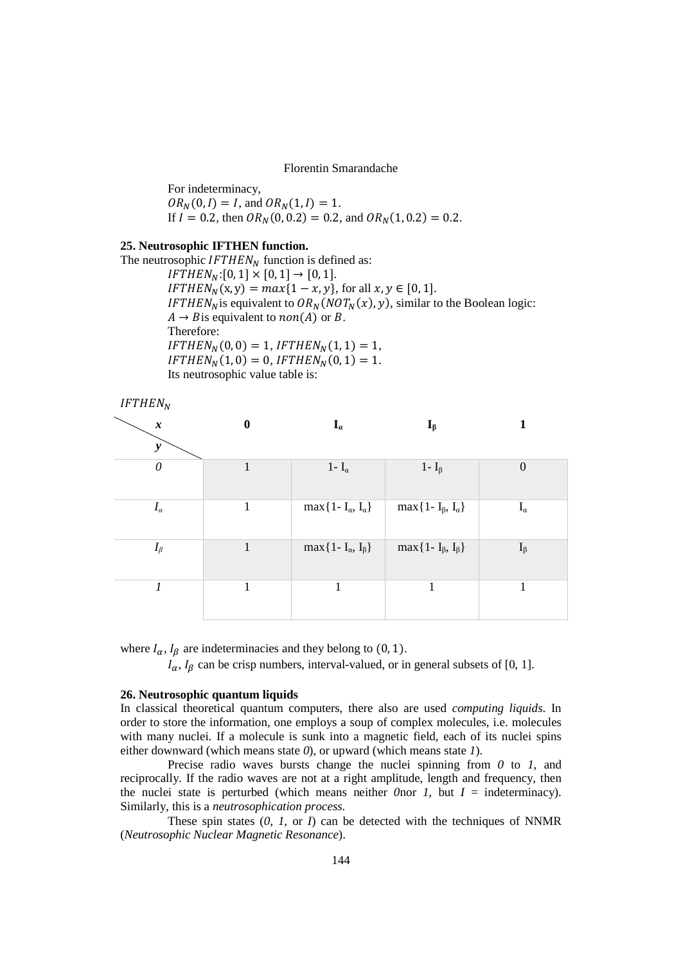Florentin Smarandache

For indeterminacy,  $OR_N(0, I) = I$ , and  $OR_N(1, I) = 1$ . If  $I = 0.2$ , then  $OR_N(0, 0.2) = 0.2$ , and  $OR_N(1, 0.2) = 0.2$ .

# **25. Neutrosophic IFTHEN function.**

The neutrosophic  $IFTHEN<sub>N</sub>$  function is defined as:  $IFTHEN_N:[0, 1] \times [0, 1] \rightarrow [0, 1].$  $IFTHEN<sub>N</sub>(x, y) = max{1 - x, y}$ , for all  $x, y \in [0, 1]$ . IFTHEN<sub>N</sub> is equivalent to  $OR_N(NOT_N(x), y)$ , similar to the Boolean logic:  $A \rightarrow B$  is equivalent to  $non(A)$  or B. Therefore:  $IFTHEN<sub>N</sub>(0,0) = 1, IFTHEN<sub>N</sub>(1,1) = 1,$  $IFTHEN<sub>N</sub>(1,0) = 0, IFTHEN<sub>N</sub>(0,1) = 1.$ Its neutrosophic value table is:

| IFTHEN <sub>N</sub>                 |                  |                                     |                                  |                     |
|-------------------------------------|------------------|-------------------------------------|----------------------------------|---------------------|
| $\pmb{\mathcal{X}}$<br>$\mathbf{y}$ | $\boldsymbol{0}$ | $\mathbf{I}_a$                      | $I_{\beta}$                      | 1                   |
| $\theta$                            | 1                | 1- $I_{\alpha}$                     | 1 - $I_{\beta}$                  | $\boldsymbol{0}$    |
| $I_{\alpha}$                        | 1                | $\max\{1-I_{\alpha}, I_{\alpha}\}\$ | $max{1 - I_{\beta}, I_{\alpha}}$ | $\mathbf{I}_\alpha$ |
| $I_\beta$                           | 1                | $\max\{1-I_{\alpha}, I_{\beta}\}\$  | $max{1 - I_{\beta}, I_{\beta}}$  | $I_{\beta}$         |
| 1                                   | 1                | 1                                   | 1                                | 1                   |

where  $I_{\alpha}$ ,  $I_{\beta}$  are indeterminacies and they belong to (0, 1).

 $I_{\alpha}$ ,  $I_{\beta}$  can be crisp numbers, interval-valued, or in general subsets of [0, 1].

# **26. Neutrosophic quantum liquids**

In classical theoretical quantum computers, there also are used *computing liquids*. In order to store the information, one employs a soup of complex molecules, i.e. molecules with many nuclei. If a molecule is sunk into a magnetic field, each of its nuclei spins either downward (which means state *0*), or upward (which means state *1*).

Precise radio waves bursts change the nuclei spinning from *0* to *1*, and reciprocally. If the radio waves are not at a right amplitude, length and frequency, then the nuclei state is perturbed (which means neither *0*nor *I*, but  $I =$  indeterminacy). Similarly, this is a *neutrosophication process*.

These spin states  $(0, 1, 0, 1)$  can be detected with the techniques of NNMR (*Neutrosophic Nuclear Magnetic Resonance*).